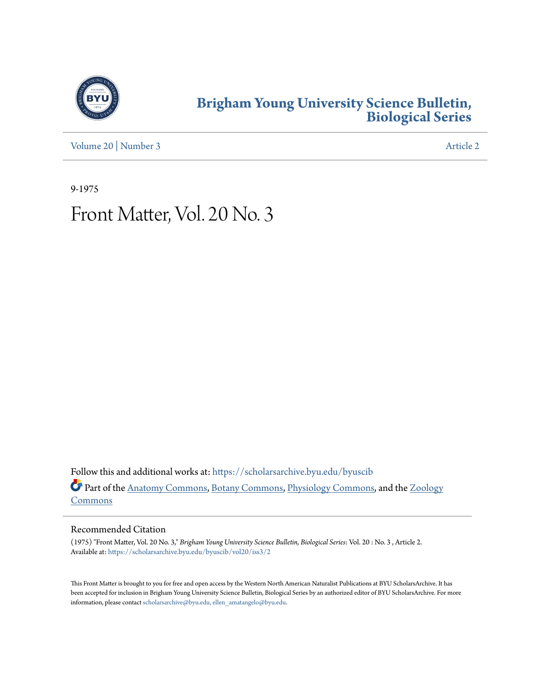

## **[Brigham Young University Science Bulletin,](https://scholarsarchive.byu.edu/byuscib?utm_source=scholarsarchive.byu.edu%2Fbyuscib%2Fvol20%2Fiss3%2F2&utm_medium=PDF&utm_campaign=PDFCoverPages) [Biological Series](https://scholarsarchive.byu.edu/byuscib?utm_source=scholarsarchive.byu.edu%2Fbyuscib%2Fvol20%2Fiss3%2F2&utm_medium=PDF&utm_campaign=PDFCoverPages)**

[Volume 20](https://scholarsarchive.byu.edu/byuscib/vol20?utm_source=scholarsarchive.byu.edu%2Fbyuscib%2Fvol20%2Fiss3%2F2&utm_medium=PDF&utm_campaign=PDFCoverPages) | [Number 3](https://scholarsarchive.byu.edu/byuscib/vol20/iss3?utm_source=scholarsarchive.byu.edu%2Fbyuscib%2Fvol20%2Fiss3%2F2&utm_medium=PDF&utm_campaign=PDFCoverPages) [Article 2](https://scholarsarchive.byu.edu/byuscib/vol20/iss3/2?utm_source=scholarsarchive.byu.edu%2Fbyuscib%2Fvol20%2Fiss3%2F2&utm_medium=PDF&utm_campaign=PDFCoverPages)

9-1975

## Front Matter, Vol. 20 No. 3

Follow this and additional works at: [https://scholarsarchive.byu.edu/byuscib](https://scholarsarchive.byu.edu/byuscib?utm_source=scholarsarchive.byu.edu%2Fbyuscib%2Fvol20%2Fiss3%2F2&utm_medium=PDF&utm_campaign=PDFCoverPages) Part of the [Anatomy Commons](http://network.bepress.com/hgg/discipline/903?utm_source=scholarsarchive.byu.edu%2Fbyuscib%2Fvol20%2Fiss3%2F2&utm_medium=PDF&utm_campaign=PDFCoverPages), [Botany Commons](http://network.bepress.com/hgg/discipline/104?utm_source=scholarsarchive.byu.edu%2Fbyuscib%2Fvol20%2Fiss3%2F2&utm_medium=PDF&utm_campaign=PDFCoverPages), [Physiology Commons,](http://network.bepress.com/hgg/discipline/69?utm_source=scholarsarchive.byu.edu%2Fbyuscib%2Fvol20%2Fiss3%2F2&utm_medium=PDF&utm_campaign=PDFCoverPages) and the [Zoology](http://network.bepress.com/hgg/discipline/81?utm_source=scholarsarchive.byu.edu%2Fbyuscib%2Fvol20%2Fiss3%2F2&utm_medium=PDF&utm_campaign=PDFCoverPages) [Commons](http://network.bepress.com/hgg/discipline/81?utm_source=scholarsarchive.byu.edu%2Fbyuscib%2Fvol20%2Fiss3%2F2&utm_medium=PDF&utm_campaign=PDFCoverPages)

## Recommended Citation

(1975) "Front Matter, Vol. 20 No. 3," *Brigham Young University Science Bulletin, Biological Series*: Vol. 20 : No. 3 , Article 2. Available at: [https://scholarsarchive.byu.edu/byuscib/vol20/iss3/2](https://scholarsarchive.byu.edu/byuscib/vol20/iss3/2?utm_source=scholarsarchive.byu.edu%2Fbyuscib%2Fvol20%2Fiss3%2F2&utm_medium=PDF&utm_campaign=PDFCoverPages)

This Front Matter is brought to you for free and open access by the Western North American Naturalist Publications at BYU ScholarsArchive. It has been accepted for inclusion in Brigham Young University Science Bulletin, Biological Series by an authorized editor of BYU ScholarsArchive. For more information, please contact [scholarsarchive@byu.edu, ellen\\_amatangelo@byu.edu](mailto:scholarsarchive@byu.edu,%20ellen_amatangelo@byu.edu).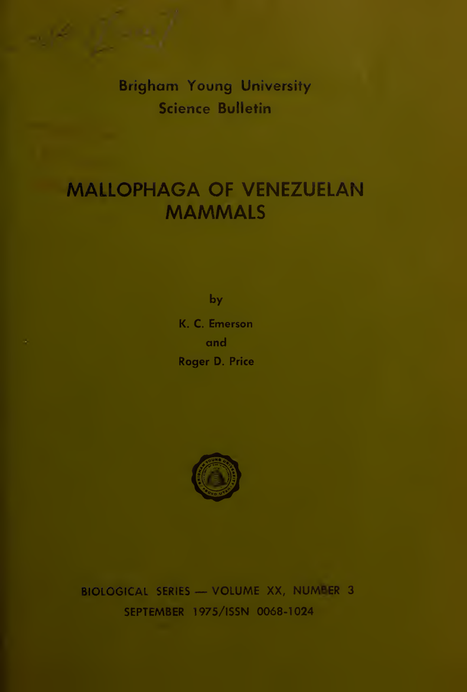Brigham Young University Science Bulletin

## MALLOPHAGA OF VENEZUELAN **MAMMALS**

by

K. C. Emerson and Roger D. Price



BIOLOGICAL SERIES — VOLUME XX, NUMBER <sup>3</sup> SEPTEMBER 1975/ISSN 0068-1024